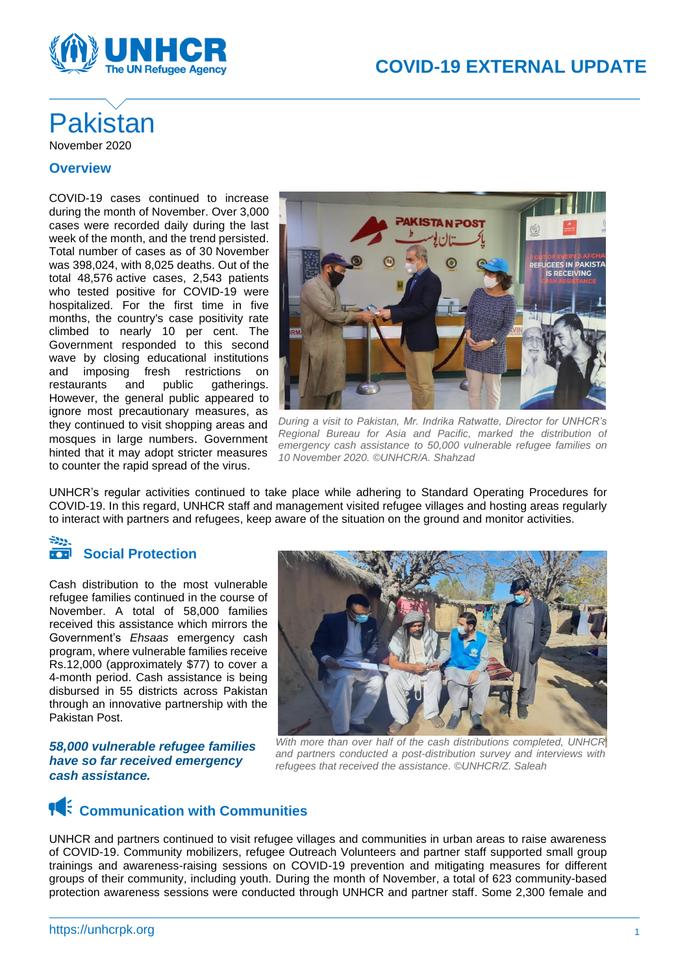

## Pakistan November 2020

#### **Overview**

COVID-19 cases continued to increase during the month of November. Over 3,000 cases were recorded daily during the last week of the month, and the trend persisted. Total number of cases as of 30 November was 398,024, with 8,025 deaths. Out of the total 48,576 active cases, 2,543 patients who tested positive for COVID-19 were hospitalized. For the first time in five months, the country's case positivity rate climbed to nearly 10 per cent. The Government responded to this second wave by closing educational institutions and imposing fresh restrictions on restaurants and public gatherings. However, the general public appeared to ignore most precautionary measures, as they continued to visit shopping areas and mosques in large numbers. Government hinted that it may adopt stricter measures to counter the rapid spread of the virus.



*During a visit to Pakistan, Mr. Indrika Ratwatte, Director for UNHCR's Regional Bureau for Asia and Pacific, marked the distribution of emergency cash assistance to 50,000 vulnerable refugee families on 10 November 2020. ©UNHCR/A. Shahzad*

UNHCR's regular activities continued to take place while adhering to Standard Operating Procedures for COVID-19. In this regard, UNHCR staff and management visited refugee villages and hosting areas regularly to interact with partners and refugees, keep aware of the situation on the ground and monitor activities.

#### $-229$  $\overline{\cdot \cdot \cdot}$ **Social Protection**

Cash distribution to the most vulnerable refugee families continued in the course of November. A total of 58,000 families received this assistance which mirrors the Government's *Ehsaas* emergency cash program, where vulnerable families receive Rs.12,000 (approximately \$77) to cover a 4-month period. Cash assistance is being disbursed in 55 districts across Pakistan through an innovative partnership with the Pakistan Post.

*58,000 vulnerable refugee families have so far received emergency cash assistance.*



*With more than over half of the cash distributions completed, UNHCR and partners conducted a post-distribution survey and interviews with refugees that received the assistance. ©UNHCR/Z. Saleah*

## **14** Communication with Communities

UNHCR and partners continued to visit refugee villages and communities in urban areas to raise awareness of COVID-19. Community mobilizers, refugee Outreach Volunteers and partner staff supported small group trainings and awareness-raising sessions on COVID-19 prevention and mitigating measures for different groups of their community, including youth. During the month of November, a total of 623 community-based protection awareness sessions were conducted through UNHCR and partner staff. Some 2,300 female and